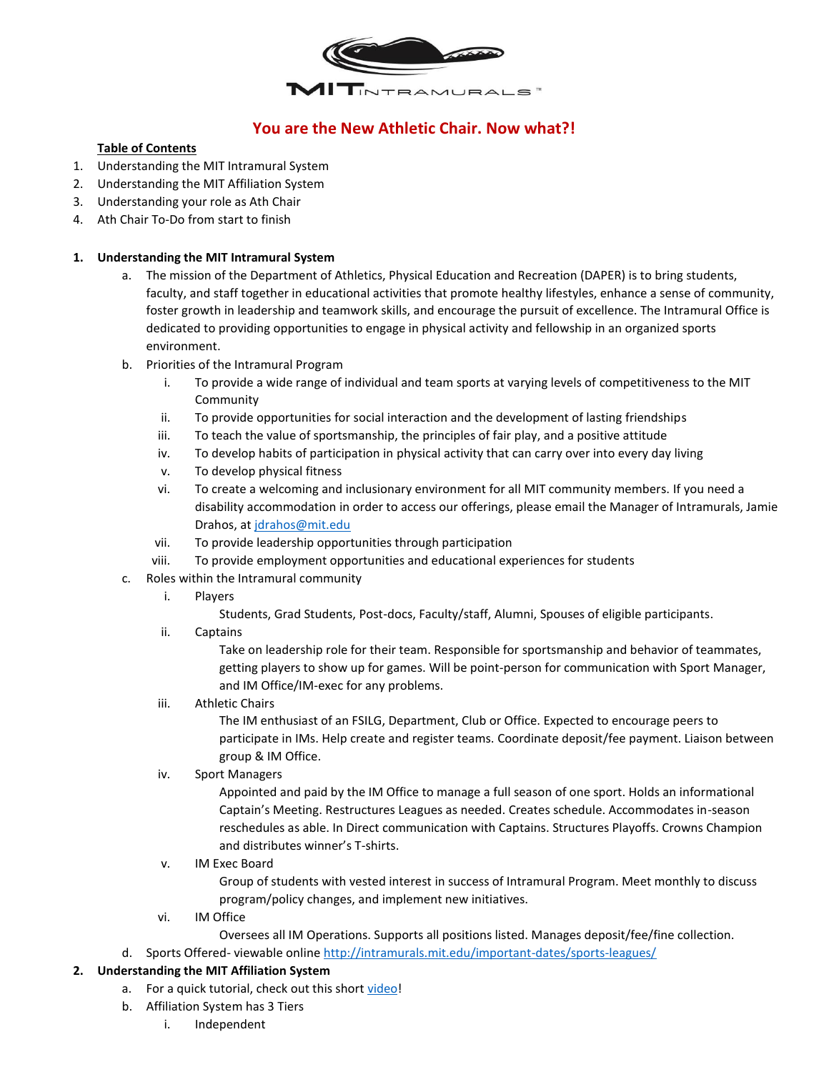

# **You are the New Athletic Chair. Now what?!**

#### **Table of Contents**

- 1. Understanding the MIT Intramural System
- 2. Understanding the MIT Affiliation System
- 3. Understanding your role as Ath Chair
- 4. Ath Chair To-Do from start to finish

#### **1. Understanding the MIT Intramural System**

- a. The mission of the Department of Athletics, Physical Education and Recreation (DAPER) is to bring students, faculty, and staff together in educational activities that promote healthy lifestyles, enhance a sense of community, foster growth in leadership and teamwork skills, and encourage the pursuit of excellence. The Intramural Office is dedicated to providing opportunities to engage in physical activity and fellowship in an organized sports environment.
- b. Priorities of the Intramural Program
	- To provide a wide range of individual and team sports at varying levels of competitiveness to the MIT Community
	- ii. To provide opportunities for social interaction and the development of lasting friendships
	- iii. To teach the value of sportsmanship, the principles of fair play, and a positive attitude
	- iv. To develop habits of participation in physical activity that can carry over into every day living
	- v. To develop physical fitness
	- vi. To create a welcoming and inclusionary environment for all MIT community members. If you need a disability accommodation in order to access our offerings, please email the Manager of Intramurals, Jamie Drahos, at [jdrahos@mit.edu](mailto:jdrahos@mit.edu)
	- vii. To provide leadership opportunities through participation
	- viii. To provide employment opportunities and educational experiences for students
- c. Roles within the Intramural community
	- i. Players
		- Students, Grad Students, Post-docs, Faculty/staff, Alumni, Spouses of eligible participants.
	- ii. Captains

Take on leadership role for their team. Responsible for sportsmanship and behavior of teammates, getting players to show up for games. Will be point-person for communication with Sport Manager, and IM Office/IM-exec for any problems.

#### iii. Athletic Chairs

The IM enthusiast of an FSILG, Department, Club or Office. Expected to encourage peers to participate in IMs. Help create and register teams. Coordinate deposit/fee payment. Liaison between group & IM Office.

## iv. Sport Managers

Appointed and paid by the IM Office to manage a full season of one sport. Holds an informational Captain's Meeting. Restructures Leagues as needed. Creates schedule. Accommodates in-season reschedules as able. In Direct communication with Captains. Structures Playoffs. Crowns Champion and distributes winner's T-shirts.

#### v. IM Exec Board

Group of students with vested interest in success of Intramural Program. Meet monthly to discuss program/policy changes, and implement new initiatives.

- vi. IM Office
	- Oversees all IM Operations. Supports all positions listed. Manages deposit/fee/fine collection.
- d. Sports Offered- viewable online<http://intramurals.mit.edu/important-dates/sports-leagues/>

## **2. Understanding the MIT Affiliation System**

- a. For a quick tutorial, check out this shor[t video!](https://www.dropbox.com/s/c54jd4tjycxz3ne/IM%20Affiliation%20Final.mov?dl=0)
- b. Affiliation System has 3 Tiers
	- i. Independent